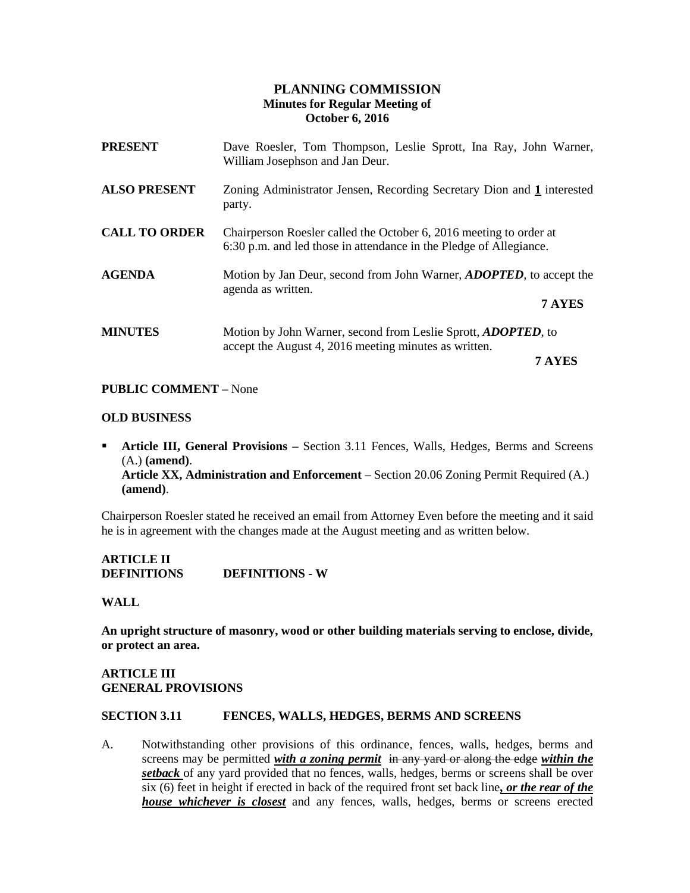# **PLANNING COMMISSION Minutes for Regular Meeting of October 6, 2016**

| Dave Roesler, Tom Thompson, Leslie Sprott, Ina Ray, John Warner,<br>William Josephson and Jan Deur.                                      |        |
|------------------------------------------------------------------------------------------------------------------------------------------|--------|
| Zoning Administrator Jensen, Recording Secretary Dion and 1 interested<br>party.                                                         |        |
| Chairperson Roesler called the October 6, 2016 meeting to order at<br>6:30 p.m. and led those in attendance in the Pledge of Allegiance. |        |
| Motion by Jan Deur, second from John Warner, <i>ADOPTED</i> , to accept the<br>agenda as written.<br>7 AYES                              |        |
| Motion by John Warner, second from Leslie Sprott, <i>ADOPTED</i> , to<br>accept the August 4, 2016 meeting minutes as written.           |        |
|                                                                                                                                          | 7 AYES |

## **PUBLIC COMMENT –** None

### **OLD BUSINESS**

**Article III, General Provisions -** Section 3.11 Fences, Walls, Hedges, Berms and Screens (A.) **(amend)**. **Article XX, Administration and Enforcement –** Section 20.06 Zoning Permit Required (A.) **(amend)**.

Chairperson Roesler stated he received an email from Attorney Even before the meeting and it said he is in agreement with the changes made at the August meeting and as written below.

**ARTICLE II DEFINITIONS DEFINITIONS - W**

### **WALL**

**An upright structure of masonry, wood or other building materials serving to enclose, divide, or protect an area.**

# **ARTICLE III GENERAL PROVISIONS**

### **SECTION 3.11 FENCES, WALLS, HEDGES, BERMS AND SCREENS**

A. Notwithstanding other provisions of this ordinance, fences, walls, hedges, berms and screens may be permitted *with a zoning permit* in any yard or along the edge *within the setback* of any yard provided that no fences, walls, hedges, berms or screens shall be over six (6) feet in height if erected in back of the required front set back line*, or the rear of the house whichever is closest* and any fences, walls, hedges, berms or screens erected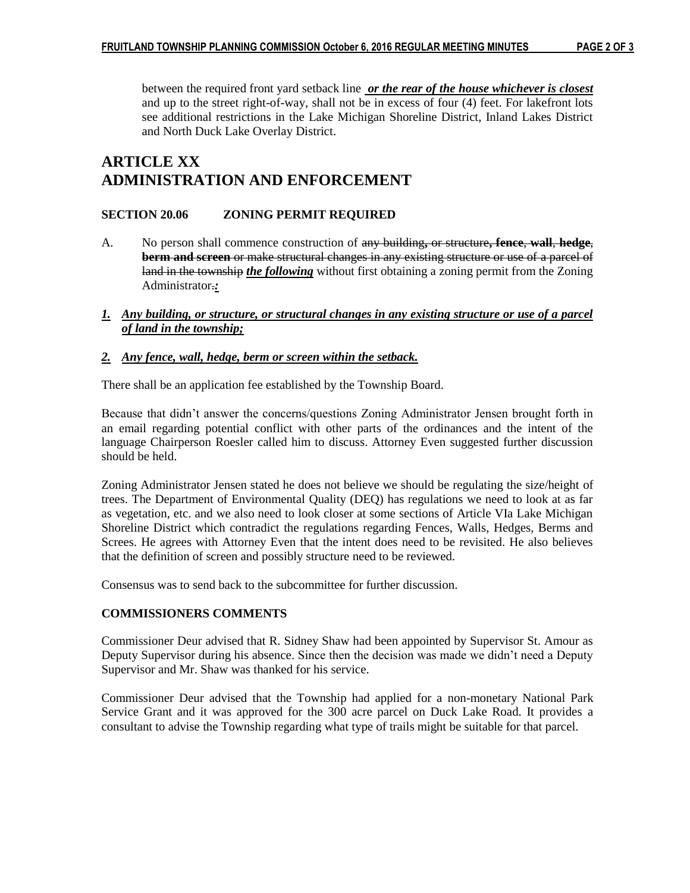between the required front yard setback line *or the rear of the house whichever is closest* and up to the street right-of-way, shall not be in excess of four (4) feet. For lakefront lots see additional restrictions in the Lake Michigan Shoreline District, Inland Lakes District and North Duck Lake Overlay District.

# **ARTICLE XX ADMINISTRATION AND ENFORCEMENT**

# **SECTION 20.06 ZONING PERMIT REQUIRED**

- A. No person shall commence construction of any building**,** or structure**, fence**, **wall**, **hedge**, **berm and screen** or make structural changes in any existing structure or use of a parcel of land in the township *the following* without first obtaining a zoning permit from the Zoning Administrator.*:*
- *1. Any building, or structure, or structural changes in any existing structure or use of a parcel of land in the township;*

## *2. Any fence, wall, hedge, berm or screen within the setback.*

There shall be an application fee established by the Township Board.

Because that didn't answer the concerns/questions Zoning Administrator Jensen brought forth in an email regarding potential conflict with other parts of the ordinances and the intent of the language Chairperson Roesler called him to discuss. Attorney Even suggested further discussion should be held.

Zoning Administrator Jensen stated he does not believe we should be regulating the size/height of trees. The Department of Environmental Quality (DEQ) has regulations we need to look at as far as vegetation, etc. and we also need to look closer at some sections of Article VIa Lake Michigan Shoreline District which contradict the regulations regarding Fences, Walls, Hedges, Berms and Screes. He agrees with Attorney Even that the intent does need to be revisited. He also believes that the definition of screen and possibly structure need to be reviewed.

Consensus was to send back to the subcommittee for further discussion.

## **COMMISSIONERS COMMENTS**

Commissioner Deur advised that R. Sidney Shaw had been appointed by Supervisor St. Amour as Deputy Supervisor during his absence. Since then the decision was made we didn't need a Deputy Supervisor and Mr. Shaw was thanked for his service.

Commissioner Deur advised that the Township had applied for a non-monetary National Park Service Grant and it was approved for the 300 acre parcel on Duck Lake Road. It provides a consultant to advise the Township regarding what type of trails might be suitable for that parcel.